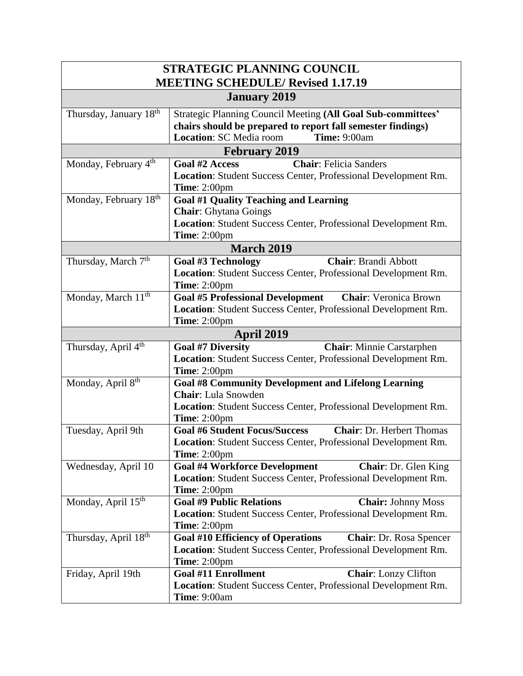| <b>STRATEGIC PLANNING COUNCIL</b>        |                                                                                          |  |
|------------------------------------------|------------------------------------------------------------------------------------------|--|
| <b>MEETING SCHEDULE/ Revised 1.17.19</b> |                                                                                          |  |
| <b>January 2019</b>                      |                                                                                          |  |
| Thursday, January 18th                   | Strategic Planning Council Meeting (All Goal Sub-committees'                             |  |
|                                          | chairs should be prepared to report fall semester findings)                              |  |
|                                          | <b>Location: SC Media room</b><br><b>Time: 9:00am</b>                                    |  |
| <b>February 2019</b>                     |                                                                                          |  |
| Monday, February 4 <sup>th</sup>         | <b>Chair:</b> Felicia Sanders<br><b>Goal #2 Access</b>                                   |  |
|                                          | Location: Student Success Center, Professional Development Rm.                           |  |
|                                          | <b>Time: 2:00pm</b>                                                                      |  |
| Monday, February 18th                    | <b>Goal #1 Quality Teaching and Learning</b>                                             |  |
|                                          | Chair: Ghytana Goings                                                                    |  |
|                                          | Location: Student Success Center, Professional Development Rm.                           |  |
|                                          | <b>Time: 2:00pm</b>                                                                      |  |
| <b>March 2019</b>                        |                                                                                          |  |
| Thursday, March 7 <sup>th</sup>          | <b>Goal #3 Technology</b><br><b>Chair: Brandi Abbott</b>                                 |  |
|                                          | Location: Student Success Center, Professional Development Rm.                           |  |
|                                          | <b>Time</b> : 2:00pm                                                                     |  |
| Monday, March 11 <sup>th</sup>           | <b>Goal #5 Professional Development</b><br><b>Chair:</b> Veronica Brown                  |  |
|                                          | Location: Student Success Center, Professional Development Rm.                           |  |
|                                          | <b>Time: 2:00pm</b>                                                                      |  |
| <b>April 2019</b>                        |                                                                                          |  |
| Thursday, April 4 <sup>th</sup>          | <b>Chair:</b> Minnie Carstarphen<br><b>Goal #7 Diversity</b>                             |  |
|                                          | Location: Student Success Center, Professional Development Rm.                           |  |
|                                          | <b>Time: 2:00pm</b>                                                                      |  |
| Monday, April 8 <sup>th</sup>            | <b>Goal #8 Community Development and Lifelong Learning</b><br><b>Chair:</b> Lula Snowden |  |
|                                          | Location: Student Success Center, Professional Development Rm.                           |  |
|                                          | <b>Time</b> : 2:00pm                                                                     |  |
| Tuesday, April 9th                       | <b>Goal #6 Student Focus/Success</b><br><b>Chair: Dr. Herbert Thomas</b>                 |  |
|                                          | Location: Student Success Center, Professional Development Rm.                           |  |
|                                          | <b>Time: 2:00pm</b>                                                                      |  |
| Wednesday, April 10                      | <b>Goal #4 Workforce Development</b><br><b>Chair:</b> Dr. Glen King                      |  |
|                                          | Location: Student Success Center, Professional Development Rm.                           |  |
|                                          | <b>Time: 2:00pm</b>                                                                      |  |
| Monday, April 15 <sup>th</sup>           | <b>Goal #9 Public Relations</b><br><b>Chair: Johnny Moss</b>                             |  |
|                                          | Location: Student Success Center, Professional Development Rm.                           |  |
|                                          | <b>Time</b> : $2:00 \text{pm}$                                                           |  |
| Thursday, April 18th                     | <b>Goal #10 Efficiency of Operations</b><br><b>Chair:</b> Dr. Rosa Spencer               |  |
|                                          | Location: Student Success Center, Professional Development Rm.                           |  |
|                                          | <b>Time</b> : 2:00pm                                                                     |  |
| Friday, April 19th                       | <b>Goal #11 Enrollment</b><br><b>Chair:</b> Lonzy Clifton                                |  |
|                                          | Location: Student Success Center, Professional Development Rm.                           |  |
|                                          | <b>Time: 9:00am</b>                                                                      |  |